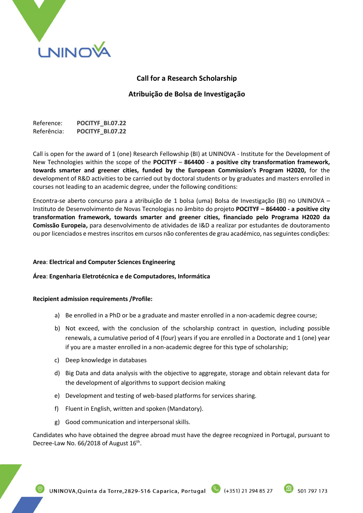

# **Call for a Research Scholarship**

# **Atribuição de Bolsa de Investigação**

Reference: **POCITYF\_BI.07.22** Referência: **POCITYF\_BI.07.22**

Call is open for the award of 1 (one) Research Fellowship (BI) at UNINOVA - Institute for the Development of New Technologies within the scope of the **POCITYF** – **864400** - **a positive city transformation framework, towards smarter and greener cities, funded by the European Commission's Program H2020,** for the development of R&D activities to be carried out by doctoral students or by graduates and masters enrolled in courses not leading to an academic degree, under the following conditions:

Encontra-se aberto concurso para a atribuição de 1 bolsa (uma) Bolsa de Investigação (BI) no UNINOVA – Instituto de Desenvolvimento de Novas Tecnologias no âmbito do projeto **POCITYF – 864400 - a positive city transformation framework, towards smarter and greener cities, financiado pelo Programa H2020 da Comissão Europeia,** para desenvolvimento de atividades de I&D a realizar por estudantes de doutoramento ou por licenciados e mestres inscritos em cursos não conferentes de grau académico, nas seguintes condições:

### **Area**: **Electrical and Computer Sciences Engineering**

### **Área**: **Engenharia Eletrotécnica e de Computadores, Informática**

### **Recipient admission requirements /Profile:**

- a) Be enrolled in a PhD or be a graduate and master enrolled in a non-academic degree course;
- b) Not exceed, with the conclusion of the scholarship contract in question, including possible renewals, a cumulative period of 4 (four) years if you are enrolled in a Doctorate and 1 (one) year if you are a master enrolled in a non-academic degree for this type of scholarship;
- c) Deep knowledge in databases
- d) Big Data and data analysis with the objective to aggregate, storage and obtain relevant data for the development of algorithms to support decision making
- e) Development and testing of web-based platforms for services sharing.
- f) Fluent in English, written and spoken (Mandatory).
- g) Good communication and interpersonal skills.

Candidates who have obtained the degree abroad must have the degree recognized in Portugal, pursuant to Decree-Law No. 66/2018 of August 16<sup>th</sup>.

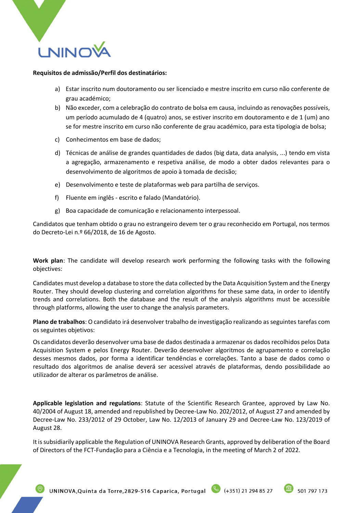

#### **Requisitos de admissão/Perfil dos destinatários:**

- a) Estar inscrito num doutoramento ou ser licenciado e mestre inscrito em curso não conferente de grau académico;
- b) Não exceder, com a celebração do contrato de bolsa em causa, incluindo as renovações possíveis, um período acumulado de 4 (quatro) anos, se estiver inscrito em doutoramento e de 1 (um) ano se for mestre inscrito em curso não conferente de grau académico, para esta tipologia de bolsa;
- c) Conhecimentos em base de dados;
- d) Técnicas de análise de grandes quantidades de dados (big data, data analysis, ...) tendo em vista a agregação, armazenamento e respetiva análise, de modo a obter dados relevantes para o desenvolvimento de algoritmos de apoio à tomada de decisão;
- e) Desenvolvimento e teste de plataformas web para partilha de serviços.
- f) Fluente em inglês escrito e falado (Mandatório).
- g) Boa capacidade de comunicação e relacionamento interpessoal.

Candidatos que tenham obtido o grau no estrangeiro devem ter o grau reconhecido em Portugal, nos termos do Decreto-Lei n.º 66/2018, de 16 de Agosto.

**Work plan**: The candidate will develop research work performing the following tasks with the following objectives:

Candidates must develop a database to store the data collected by the Data Acquisition System and the Energy Router. They should develop clustering and correlation algorithms for these same data, in order to identify trends and correlations. Both the database and the result of the analysis algorithms must be accessible through platforms, allowing the user to change the analysis parameters.

**Plano de trabalhos**: O candidato irá desenvolver trabalho de investigação realizando as seguintes tarefas com os seguintes objetivos:

Os candidatos deverão desenvolver uma base de dados destinada a armazenar os dados recolhidos pelos Data Acquisition System e pelos Energy Router. Deverão desenvolver algoritmos de agrupamento e correlação desses mesmos dados, por forma a identificar tendências e correlações. Tanto a base de dados como o resultado dos algoritmos de analise deverá ser acessível através de plataformas, dendo possibilidade ao utilizador de alterar os parâmetros de análise.

**Applicable legislation and regulations**: Statute of the Scientific Research Grantee, approved by Law No. 40/2004 of August 18, amended and republished by Decree-Law No. 202/2012, of August 27 and amended by Decree-Law No. 233/2012 of 29 October, Law No. 12/2013 of January 29 and Decree-Law No. 123/2019 of August 28.

It is subsidiarily applicable the Regulation of UNINOVA Research Grants, approved by deliberation of the Board of Directors of the FCT-Fundação para a Ciência e a Tecnologia, in the meeting of March 2 of 2022.

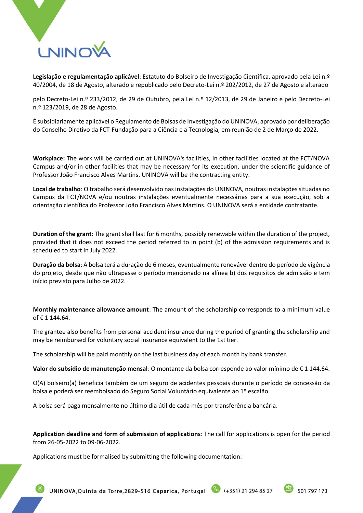

**Legislação e regulamentação aplicável**: Estatuto do Bolseiro de Investigação Científica, aprovado pela Lei n.º 40/2004, de 18 de Agosto, alterado e republicado pelo Decreto-Lei n.º 202/2012, de 27 de Agosto e alterado

pelo Decreto-Lei n.º 233/2012, de 29 de Outubro, pela Lei n.º 12/2013, de 29 de Janeiro e pelo Decreto-Lei n.º 123/2019, de 28 de Agosto.

É subsidiariamente aplicável o Regulamento de Bolsas de Investigação do UNINOVA, aprovado por deliberação do Conselho Diretivo da FCT-Fundação para a Ciência e a Tecnologia, em reunião de 2 de Março de 2022.

**Workplace:** The work will be carried out at UNINOVA's facilities, in other facilities located at the FCT/NOVA Campus and/or in other facilities that may be necessary for its execution, under the scientific guidance of Professor João Francisco Alves Martins. UNINOVA will be the contracting entity.

**Local de trabalho**: O trabalho será desenvolvido nas instalações do UNINOVA, noutras instalações situadas no Campus da FCT/NOVA e/ou noutras instalações eventualmente necessárias para a sua execução, sob a orientação científica do Professor João Francisco Alves Martins. O UNINOVA será a entidade contratante.

**Duration of the grant**: The grant shall last for 6 months, possibly renewable within the duration of the project, provided that it does not exceed the period referred to in point (b) of the admission requirements and is scheduled to start in July 2022.

**Duração da bolsa**: A bolsa terá a duração de 6 meses, eventualmente renovável dentro do período de vigência do projeto, desde que não ultrapasse o período mencionado na alínea b) dos requisitos de admissão e tem início previsto para Julho de 2022.

**Monthly maintenance allowance amount**: The amount of the scholarship corresponds to a minimum value of € 1 144.64.

The grantee also benefits from personal accident insurance during the period of granting the scholarship and may be reimbursed for voluntary social insurance equivalent to the 1st tier.

The scholarship will be paid monthly on the last business day of each month by bank transfer.

**Valor do subsídio de manutenção mensal**: O montante da bolsa corresponde ao valor mínimo de € 1 144,64.

O(A) bolseiro(a) beneficia também de um seguro de acidentes pessoais durante o período de concessão da bolsa e poderá ser reembolsado do Seguro Social Voluntário equivalente ao 1º escalão.

A bolsa será paga mensalmente no último dia útil de cada mês por transferência bancária.

**Application deadline and form of submission of applications**: The call for applications is open for the period from 26-05-2022 to 09-06-2022.

Applications must be formalised by submitting the following documentation:

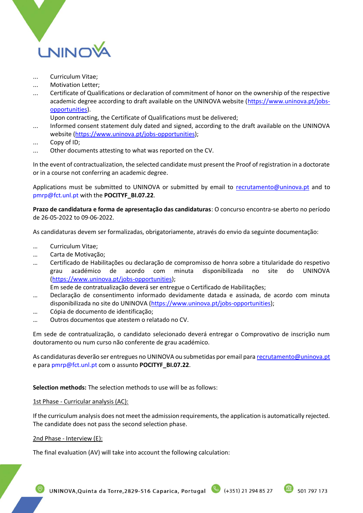

- ... Curriculum Vitae;
- ... Motivation Letter;
- ... Certificate of Qualifications or declaration of commitment of honor on the ownership of the respective academic degree according to draft available on the UNINOVA website [\(https://www.uninova.pt/jobs](https://www.uninova.pt/jobs-opportunities)[opportunities\)](https://www.uninova.pt/jobs-opportunities).

Upon contracting, the Certificate of Qualifications must be delivered;

- ... Informed consent statement duly dated and signed, according to the draft available on the UNINOVA website [\(https://www.uninova.pt/jobs-opportunities\)](https://www.uninova.pt/jobs-opportunities);
- Copy of ID;
- ... Other documents attesting to what was reported on the CV.

In the event of contractualization, the selected candidate must present the Proof of registration in a doctorate or in a course not conferring an academic degree.

Applications must be submitted to UNINOVA or submitted by email to [recrutamento@uninova.pt](mailto:recrutamento@uninova.pt) and to [pmrp@fct.unl.pt](mailto:pmrp@fct.unl.pt) with the **POCITYF\_BI.07.22**.

**Prazo de candidatura e forma de apresentação das candidaturas**: O concurso encontra-se aberto no período de 26-05-2022 to 09-06-2022.

As candidaturas devem ser formalizadas, obrigatoriamente, através do envio da seguinte documentação:

- … Curriculum Vitae;
- … Carta de Motivação;
- … Certificado de Habilitações ou declaração de compromisso de honra sobre a titularidade do respetivo grau académico de acordo com minuta disponibilizada no site do UNINOVA [\(https://www.uninova.pt/jobs-opportunities\)](https://www.uninova.pt/jobs-opportunities);

Em sede de contratualização deverá ser entregue o Certificado de Habilitações;

- … Declaração de consentimento informado devidamente datada e assinada, de acordo com minuta disponibilizada no site do UNINOVA [\(https://www.uninova.pt/jobs-opportunities\)](https://www.uninova.pt/jobs-opportunities);
- … Cópia de documento de identificação;
- … Outros documentos que atestem o relatado no CV.

Em sede de contratualização, o candidato selecionado deverá entregar o Comprovativo de inscrição num doutoramento ou num curso não conferente de grau académico.

As candidaturas deverão ser entregues no UNINOVA ou submetidas por email par[a recrutamento@uninova.pt](mailto:recrutamento@uninova.pt) e par[a pmrp@fct.unl.pt](mailto:pmrp@fct.unl.pt) com o assunto **POCITYF\_BI.07.22**.

**Selection methods:** The selection methods to use will be as follows:

#### 1st Phase - Curricular analysis (AC):

If the curriculum analysis does not meet the admission requirements, the application is automatically rejected. The candidate does not pass the second selection phase.

2nd Phase - Interview (E):

The final evaluation (AV) will take into account the following calculation:

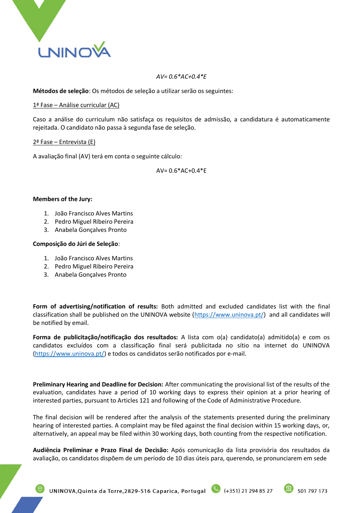

### *AV= 0.6\*AC+0.4\*E*

**Métodos de seleção**: Os métodos de seleção a utilizar serão os seguintes:

### 1ª Fase – Análise curricular (AC)

Caso a análise do curriculum não satisfaça os requisitos de admissão, a candidatura é automaticamente rejeitada. O candidato não passa à segunda fase de seleção.

### 2ª Fase – Entrevista (E)

A avaliação final (AV) terá em conta o seguinte cálculo:

AV= 0.6\*AC+0.4\*E

## **Members of the Jury:**

- 1. João Francisco Alves Martins
- 2. Pedro Miguel Ribeiro Pereira
- 3. Anabela Gonçalves Pronto

### **Composição do Júri de Seleção**:

- 1. João Francisco Alves Martins
- 2. Pedro Miguel Ribeiro Pereira
- 3. Anabela Gonçalves Pronto

**Form of advertising/notification of results:** Both admitted and excluded candidates list with the final classification shall be published on the UNINOVA website [\(https://www.uninova.pt/\)](https://www.uninova.pt/) and all candidates will be notified by email.

**Forma de publicitação/notificação dos resultados:** A lista com o(a) candidato(a) admitido(a) e com os candidatos excluídos com a classificação final será publicitada no sítio na internet do UNINOVA [\(https://www.uninova.pt/\)](https://www.uninova.pt/) e todos os candidatos serão notificados por e-mail.

**Preliminary Hearing and Deadline for Decision:** After communicating the provisional list of the results of the evaluation, candidates have a period of 10 working days to express their opinion at a prior hearing of interested parties, pursuant to Articles 121 and following of the Code of Administrative Procedure.

The final decision will be rendered after the analysis of the statements presented during the preliminary hearing of interested parties. A complaint may be filed against the final decision within 15 working days, or, alternatively, an appeal may be filed within 30 working days, both counting from the respective notification.

**Audiência Preliminar e Prazo Final de Decisão:** Após comunicação da lista provisória dos resultados da avaliação, os candidatos dispõem de um período de 10 dias úteis para, querendo, se pronunciarem em sede